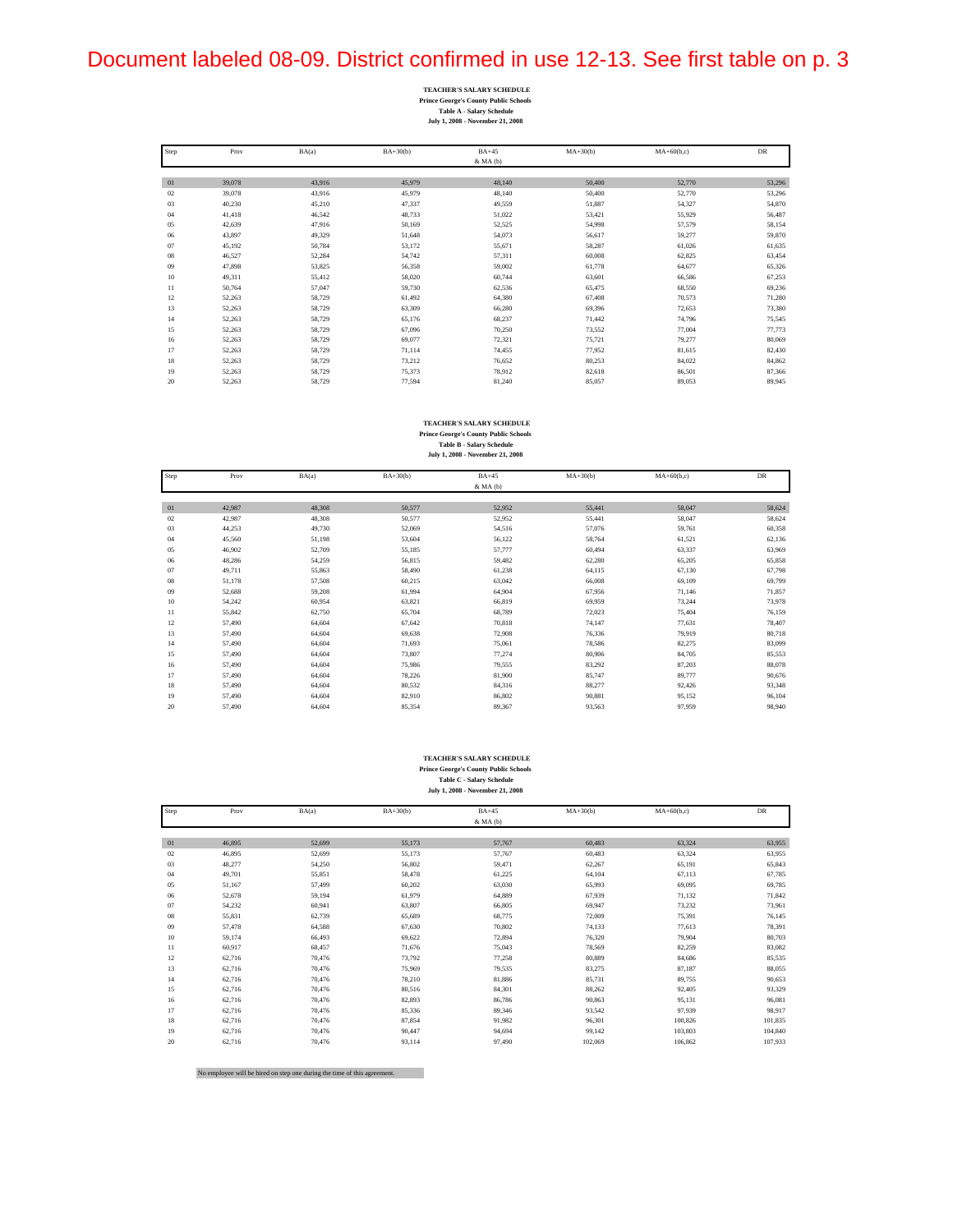## Document labeled 08-09. District confirmed in use 12-13. See first table on p. 3

| <b>TEACHER'S SALARY SCHEDULE</b>             |
|----------------------------------------------|
| <b>Prince George's County Public Schools</b> |
| <b>Table A - Salary Schedule</b>             |
| July 1, 2008 - November 21, 2008             |

| Step | Prov   | BA(a)  | $BA+30(b)$ | $BA+45$      | $MA+30(b)$ | $MA+60(b,c)$ | <b>DR</b> |
|------|--------|--------|------------|--------------|------------|--------------|-----------|
|      |        |        |            | $&$ MA $(b)$ |            |              |           |
|      |        |        |            |              |            |              |           |
| 01   | 39,078 | 43,916 | 45,979     | 48,140       | 50,400     | 52,770       | 53,296    |
| 02   | 39.078 | 43.916 | 45.979     | 48.140       | 50,400     | 52,770       | 53,296    |
| 03   | 40,230 | 45,210 | 47,337     | 49,559       | 51,887     | 54,327       | 54,870    |
| 04   | 41,418 | 46,542 | 48,733     | 51,022       | 53,421     | 55,929       | 56,487    |
| 05   | 42,639 | 47,916 | 50,169     | 52,525       | 54,998     | 57,579       | 58,154    |
| 06   | 43,897 | 49,329 | 51,648     | 54,073       | 56,617     | 59,277       | 59,870    |
| 07   | 45,192 | 50,784 | 53,172     | 55,671       | 58,287     | 61,026       | 61,635    |
| 08   | 46.527 | 52,284 | 54,742     | 57,311       | 60,008     | 62,825       | 63,454    |
| 09   | 47,898 | 53,825 | 56,358     | 59,002       | 61,778     | 64,677       | 65,326    |
| 10   | 49,311 | 55,412 | 58,020     | 60,744       | 63,601     | 66,586       | 67,253    |
| 11   | 50,764 | 57,047 | 59,730     | 62,536       | 65,475     | 68,550       | 69,236    |
| 12   | 52,263 | 58,729 | 61,492     | 64,380       | 67,408     | 70,573       | 71,280    |
| 13   | 52,263 | 58,729 | 63,309     | 66,280       | 69,396     | 72,653       | 73,380    |
| 14   | 52,263 | 58,729 | 65.176     | 68,237       | 71.442     | 74,796       | 75,545    |
| 15   | 52,263 | 58,729 | 67.096     | 70,250       | 73,552     | 77,004       | 77,773    |
| 16   | 52,263 | 58,729 | 69,077     | 72,321       | 75.721     | 79,277       | 80,069    |
| 17   | 52,263 | 58,729 | 71,114     | 74,455       | 77,952     | 81,615       | 82,430    |
| 18   | 52,263 | 58,729 | 73.212     | 76.652       | 80,253     | 84,022       | 84,862    |
| 19   | 52,263 | 58,729 | 75.373     | 78.912       | 82,618     | 86,501       | 87,366    |
| 20   | 52.263 | 58.729 | 77.594     | 81.240       | 85.057     | 89,053       | 89,945    |

### **TEACHER'S SALARY SCHEDULE Prince George's County Public Schools Table B - Salary Schedule**

#### **July 1, 2008 - November 21, 2008**

| Step   | Prov   | BA(a)  | $BA+30(b)$ | $BA+45$      | $MA+30(b)$ | $MA+60(b,c)$ | DR     |
|--------|--------|--------|------------|--------------|------------|--------------|--------|
|        |        |        |            | $&$ MA $(b)$ |            |              |        |
|        |        |        |            |              |            |              |        |
| 01     | 42,987 | 48,308 | 50,577     | 52,952       | 55,441     | 58,047       | 58,624 |
| 02     | 42,987 | 48,308 | 50,577     | 52,952       | 55,441     | 58,047       | 58,624 |
| 03     | 44,253 | 49,730 | 52,069     | 54,516       | 57,076     | 59,761       | 60,358 |
| 04     | 45,560 | 51,198 | 53,604     | 56,122       | 58,764     | 61,521       | 62,136 |
| 05     | 46,902 | 52,709 | 55,185     | 57,777       | 60,494     | 63,337       | 63,969 |
| 06     | 48,286 | 54,259 | 56,815     | 59,482       | 62,280     | 65,205       | 65,858 |
| 07     | 49,711 | 55,863 | 58,490     | 61,238       | 64,115     | 67,130       | 67,798 |
| $08\,$ | 51,178 | 57,508 | 60,215     | 63,042       | 66,008     | 69,109       | 69,799 |
| 09     | 52,688 | 59,208 | 61,994     | 64,904       | 67,956     | 71,146       | 71,857 |
| 10     | 54,242 | 60.954 | 63,821     | 66,819       | 69,959     | 73,244       | 73,978 |
| 11     | 55,842 | 62,750 | 65,704     | 68,789       | 72,023     | 75,404       | 76,159 |
| 12     | 57,490 | 64,604 | 67,642     | 70,818       | 74,147     | 77,631       | 78,407 |
| 13     | 57,490 | 64,604 | 69,638     | 72,908       | 76,336     | 79,919       | 80,718 |
| 14     | 57,490 | 64,604 | 71,693     | 75,061       | 78,586     | 82,275       | 83,099 |
| 15     | 57,490 | 64,604 | 73,807     | 77,274       | 80,906     | 84,705       | 85,553 |
| 16     | 57,490 | 64,604 | 75,986     | 79,555       | 83,292     | 87,203       | 88,078 |
| 17     | 57,490 | 64,604 | 78,226     | 81,900       | 85,747     | 89,777       | 90,676 |
| 18     | 57,490 | 64,604 | 80,532     | 84,316       | 88,277     | 92,426       | 93,348 |
| 19     | 57,490 | 64,604 | 82,910     | 86,802       | 90,881     | 95,152       | 96,104 |
| 20     | 57,490 | 64,604 | 85,354     | 89,367       | 93,563     | 97,959       | 98,940 |

### **TEACHER'S SALARY SCHEDULE**

**Prince George's County Public Schools Table C - Salary Schedule July 1, 2008 - November 21, 2008**

| Step | Prov   | BA(a)  | $BA+30(b)$ | $BA+45$  | $MA+30(b)$ | $MA+60(b,c)$ | DR      |
|------|--------|--------|------------|----------|------------|--------------|---------|
|      |        |        |            | & MA (b) |            |              |         |
|      |        |        |            |          |            |              |         |
| 01   | 46.895 | 52.699 | 55,173     | 57,767   | 60.483     | 63.324       | 63,955  |
| 02   | 46.895 | 52.699 | 55,173     | 57.767   | 60.483     | 63,324       | 63,955  |
| 03   | 48.277 | 54.250 | 56.802     | 59,471   | 62.267     | 65,191       | 65,843  |
| 04   | 49.701 | 55,851 | 58,478     | 61,225   | 64.104     | 67,113       | 67,785  |
| 05   | 51,167 | 57,499 | 60,202     | 63,030   | 65.993     | 69,095       | 69,785  |
| 06   | 52,678 | 59.194 | 61,979     | 64,889   | 67,939     | 71,132       | 71,842  |
| 07   | 54,232 | 60,941 | 63,807     | 66,805   | 69,947     | 73,232       | 73,961  |
| 08   | 55,831 | 62,739 | 65,689     | 68,775   | 72,009     | 75,391       | 76,145  |
| 09   | 57,478 | 64,588 | 67,630     | 70.802   | 74,133     | 77.613       | 78,391  |
| 10   | 59,174 | 66,493 | 69,622     | 72,894   | 76,320     | 79,904       | 80,703  |
| 11   | 60.917 | 68,457 | 71,676     | 75,043   | 78,569     | 82,259       | 83,082  |
| 12   | 62.716 | 70.476 | 73,792     | 77.258   | 80.889     | 84,686       | 85,535  |
| 13   | 62,716 | 70.476 | 75,969     | 79,535   | 83.275     | 87,187       | 88,055  |
| 14   | 62,716 | 70.476 | 78,210     | 81,886   | 85,731     | 89,755       | 90,653  |
| 15   | 62.716 | 70.476 | 80.516     | 84,301   | 88.262     | 92.405       | 93,329  |
| 16   | 62,716 | 70,476 | 82,893     | 86,786   | 90.863     | 95,131       | 96,081  |
| 17   | 62,716 | 70,476 | 85,336     | 89,346   | 93.542     | 97.939       | 98,917  |
| 18   | 62,716 | 70,476 | 87,854     | 91,982   | 96,301     | 100,826      | 101,835 |
| 19   | 62,716 | 70,476 | 90.447     | 94,694   | 99,142     | 103,803      | 104,840 |
| 20   | 62.716 | 70.476 | 93.114     | 97.490   | 102.069    | 106.862      | 107,933 |

No employee will be hired on step one during the time of this agreement.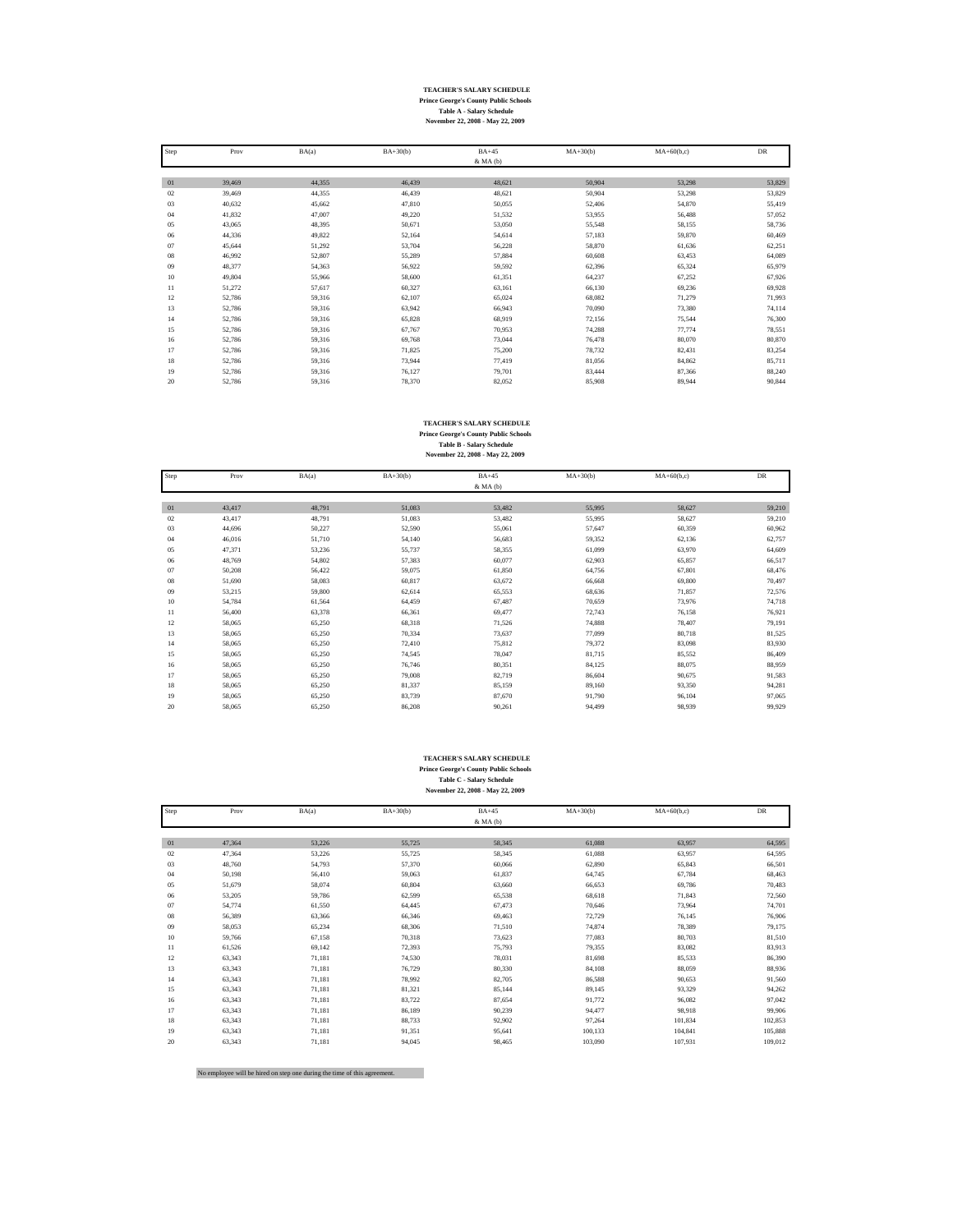### **TEACHER'S SALARY SCHEDULE Prince George's County Public Schools Table A - Salary Schedule November 22, 2008 - May 22, 2009**

| Step | Prov   | BA(a)  | $BA+30(b)$ | $BA+45$      | $MA+30(b)$ | $MA+60(b,c)$ | <b>DR</b> |
|------|--------|--------|------------|--------------|------------|--------------|-----------|
|      |        |        |            | $&$ MA $(b)$ |            |              |           |
|      |        |        |            |              |            |              |           |
| 01   | 39,469 | 44,355 | 46,439     | 48,621       | 50,904     | 53,298       | 53,829    |
| 02   | 39.469 | 44.355 | 46,439     | 48.621       | 50,904     | 53.298       | 53,829    |
| 03   | 40,632 | 45,662 | 47,810     | 50,055       | 52,406     | 54,870       | 55,419    |
| 04   | 41.832 | 47,007 | 49,220     | 51,532       | 53.955     | 56,488       | 57,052    |
| 05   | 43,065 | 48,395 | 50,671     | 53,050       | 55,548     | 58,155       | 58,736    |
| 06   | 44.336 | 49,822 | 52.164     | 54,614       | 57,183     | 59,870       | 60,469    |
| 07   | 45,644 | 51,292 | 53,704     | 56,228       | 58,870     | 61,636       | 62,251    |
| 08   | 46.992 | 52,807 | 55,289     | 57,884       | 60,608     | 63,453       | 64,089    |
| 09   | 48,377 | 54,363 | 56.922     | 59,592       | 62,396     | 65,324       | 65,979    |
| 10   | 49,804 | 55,966 | 58,600     | 61,351       | 64,237     | 67,252       | 67,926    |
| 11   | 51,272 | 57,617 | 60,327     | 63,161       | 66,130     | 69,236       | 69,928    |
| 12   | 52,786 | 59,316 | 62,107     | 65,024       | 68,082     | 71,279       | 71,993    |
| 13   | 52,786 | 59,316 | 63.942     | 66,943       | 70,090     | 73,380       | 74,114    |
| 14   | 52,786 | 59,316 | 65,828     | 68,919       | 72,156     | 75,544       | 76,300    |
| 15   | 52,786 | 59,316 | 67,767     | 70.953       | 74,288     | 77,774       | 78,551    |
| 16   | 52,786 | 59,316 | 69,768     | 73,044       | 76.478     | 80,070       | 80,870    |
| 17   | 52,786 | 59,316 | 71.825     | 75,200       | 78.732     | 82,431       | 83,254    |
| 18   | 52,786 | 59,316 | 73,944     | 77,419       | 81,056     | 84,862       | 85,711    |
| 19   | 52,786 | 59,316 | 76,127     | 79,701       | 83,444     | 87,366       | 88,240    |
| 20   | 52.786 | 59.316 | 78,370     | 82.052       | 85,908     | 89.944       | 90.844    |

# **TEACHER'S SALARY SCHEDULE Prince George's County Public Schools Table B - Salary Schedule November 22, 2008 - May 22, 2009**

| Step   | Prov   | BA(a)  | $BA+30(b)$ | $BA+45$      | $MA+30(b)$ | $MA+60(b,c)$ | DR     |
|--------|--------|--------|------------|--------------|------------|--------------|--------|
|        |        |        |            | $&$ MA $(b)$ |            |              |        |
|        |        |        |            |              |            |              |        |
| 01     | 43,417 | 48,791 | 51,083     | 53,482       | 55,995     | 58,627       | 59,210 |
| 02     | 43,417 | 48,791 | 51,083     | 53,482       | 55,995     | 58,627       | 59,210 |
| 03     | 44,696 | 50,227 | 52,590     | 55,061       | 57,647     | 60,359       | 60,962 |
| 04     | 46,016 | 51,710 | 54,140     | 56,683       | 59,352     | 62,136       | 62,757 |
| 05     | 47,371 | 53,236 | 55,737     | 58,355       | 61,099     | 63,970       | 64,609 |
| 06     | 48.769 | 54,802 | 57,383     | 60.077       | 62,903     | 65,857       | 66,517 |
| 07     | 50,208 | 56,422 | 59,075     | 61,850       | 64,756     | 67,801       | 68,476 |
| $08\,$ | 51.690 | 58,083 | 60,817     | 63,672       | 66.668     | 69,800       | 70,497 |
| 09     | 53,215 | 59,800 | 62,614     | 65,553       | 68,636     | 71,857       | 72,576 |
| 10     | 54,784 | 61,564 | 64,459     | 67,487       | 70,659     | 73,976       | 74,718 |
| 11     | 56,400 | 63,378 | 66,361     | 69.477       | 72,743     | 76,158       | 76,921 |
| 12     | 58,065 | 65,250 | 68,318     | 71,526       | 74,888     | 78,407       | 79,191 |
| 13     | 58,065 | 65,250 | 70,334     | 73,637       | 77,099     | 80,718       | 81,525 |
| 14     | 58,065 | 65,250 | 72,410     | 75,812       | 79,372     | 83,098       | 83,930 |
| 15     | 58,065 | 65,250 | 74,545     | 78,047       | 81,715     | 85,552       | 86,409 |
| 16     | 58,065 | 65,250 | 76,746     | 80,351       | 84,125     | 88,075       | 88,959 |
| 17     | 58,065 | 65,250 | 79,008     | 82,719       | 86,604     | 90,675       | 91,583 |
| 18     | 58,065 | 65,250 | 81,337     | 85,159       | 89,160     | 93,350       | 94,281 |
| 19     | 58,065 | 65,250 | 83,739     | 87,670       | 91,790     | 96,104       | 97,065 |
| 20     | 58,065 | 65,250 | 86,208     | 90,261       | 94,499     | 98,939       | 99,929 |

### **TEACHER'S SALARY SCHEDULE**

**Prince George's County Public Schools Table C - Salary Schedule November 22, 2008 - May 22, 2009**

| Step | Prov   | BA(a)  | $BA+30(b)$ | $BA+45$      | $MA+30(b)$ | $MA+60(b,c)$ | DR      |
|------|--------|--------|------------|--------------|------------|--------------|---------|
|      |        |        |            | $&$ MA $(b)$ |            |              |         |
|      |        |        |            |              |            |              |         |
| 01   | 47,364 | 53,226 | 55,725     | 58.345       | 61.088     | 63.957       | 64,595  |
| 02   | 47.364 | 53.226 | 55,725     | 58.345       | 61.088     | 63.957       | 64,595  |
| 03   | 48,760 | 54,793 | 57,370     | 60,066       | 62,890     | 65,843       | 66,501  |
| 04   | 50.198 | 56.410 | 59.063     | 61,837       | 64,745     | 67.784       | 68,463  |
| 05   | 51,679 | 58,074 | 60,804     | 63,660       | 66,653     | 69,786       | 70,483  |
| 06   | 53,205 | 59,786 | 62,599     | 65,538       | 68,618     | 71,843       | 72,560  |
| 07   | 54,774 | 61,550 | 64,445     | 67.473       | 70.646     | 73,964       | 74,701  |
| 08   | 56,389 | 63,366 | 66,346     | 69,463       | 72,729     | 76,145       | 76,906  |
| 09   | 58,053 | 65,234 | 68,306     | 71,510       | 74,874     | 78,389       | 79,175  |
| 10   | 59,766 | 67.158 | 70.318     | 73,623       | 77.083     | 80,703       | 81,510  |
| 11   | 61,526 | 69,142 | 72,393     | 75,793       | 79,355     | 83,082       | 83,913  |
| 12   | 63,343 | 71,181 | 74,530     | 78,031       | 81,698     | 85,533       | 86,390  |
| 13   | 63,343 | 71,181 | 76.729     | 80,330       | 84,108     | 88,059       | 88,936  |
| 14   | 63,343 | 71,181 | 78,992     | 82,705       | 86,588     | 90.653       | 91,560  |
| 15   | 63,343 | 71,181 | 81,321     | 85,144       | 89.145     | 93,329       | 94,262  |
| 16   | 63,343 | 71,181 | 83,722     | 87,654       | 91,772     | 96,082       | 97,042  |
| 17   | 63,343 | 71,181 | 86,189     | 90,239       | 94,477     | 98,918       | 99,906  |
| 18   | 63,343 | 71,181 | 88.733     | 92,902       | 97.264     | 101.834      | 102,853 |
| 19   | 63,343 | 71,181 | 91,351     | 95,641       | 100,133    | 104,841      | 105,888 |
| 20   | 63,343 | 71,181 | 94,045     | 98,465       | 103,090    | 107,931      | 109,012 |

No employee will be hired on step one during the time of this agreement.